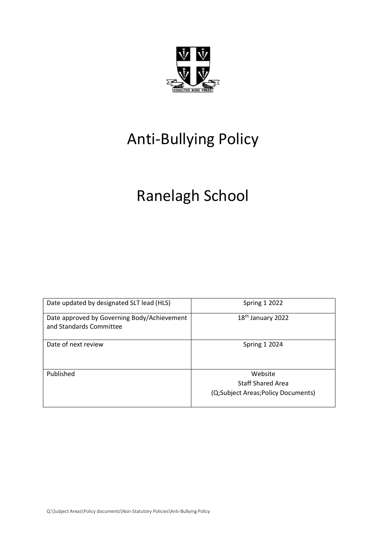

# Anti-Bullying Policy

# Ranelagh School

| Date updated by designated SLT lead (HLS)                              | <b>Spring 1 2022</b>                                                      |
|------------------------------------------------------------------------|---------------------------------------------------------------------------|
| Date approved by Governing Body/Achievement<br>and Standards Committee | 18 <sup>th</sup> January 2022                                             |
| Date of next review                                                    | <b>Spring 1 2024</b>                                                      |
| Published                                                              | Website<br><b>Staff Shared Area</b><br>(Q;Subject Areas;Policy Documents) |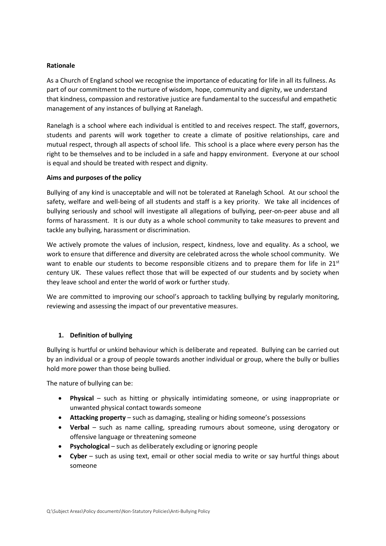### Rationale

As a Church of England school we recognise the importance of educating for life in all its fullness. As part of our commitment to the nurture of wisdom, hope, community and dignity, we understand that kindness, compassion and restorative justice are fundamental to the successful and empathetic management of any instances of bullying at Ranelagh.

Ranelagh is a school where each individual is entitled to and receives respect. The staff, governors, students and parents will work together to create a climate of positive relationships, care and mutual respect, through all aspects of school life. This school is a place where every person has the right to be themselves and to be included in a safe and happy environment. Everyone at our school is equal and should be treated with respect and dignity.

#### Aims and purposes of the policy

Bullying of any kind is unacceptable and will not be tolerated at Ranelagh School. At our school the safety, welfare and well-being of all students and staff is a key priority. We take all incidences of bullying seriously and school will investigate all allegations of bullying, peer-on-peer abuse and all forms of harassment. It is our duty as a whole school community to take measures to prevent and tackle any bullying, harassment or discrimination.

We actively promote the values of inclusion, respect, kindness, love and equality. As a school, we work to ensure that difference and diversity are celebrated across the whole school community. We want to enable our students to become responsible citizens and to prepare them for life in  $21^{st}$ century UK. These values reflect those that will be expected of our students and by society when they leave school and enter the world of work or further study.

We are committed to improving our school's approach to tackling bullying by regularly monitoring, reviewing and assessing the impact of our preventative measures.

### 1. Definition of bullying

Bullying is hurtful or unkind behaviour which is deliberate and repeated. Bullying can be carried out by an individual or a group of people towards another individual or group, where the bully or bullies hold more power than those being bullied.

The nature of bullying can be:

- Physical such as hitting or physically intimidating someone, or using inappropriate or unwanted physical contact towards someone
- Attacking property such as damaging, stealing or hiding someone's possessions
- Verbal such as name calling, spreading rumours about someone, using derogatory or offensive language or threatening someone
- Psychological such as deliberately excluding or ignoring people
- Cyber such as using text, email or other social media to write or say hurtful things about someone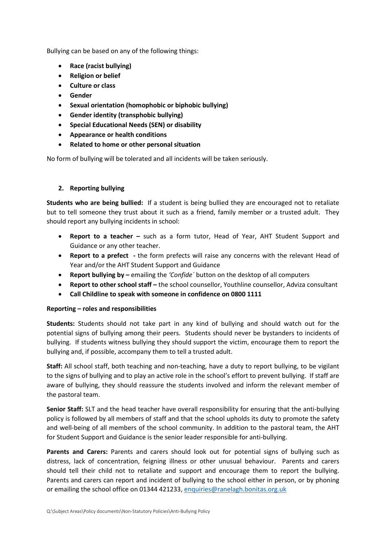Bullying can be based on any of the following things:

- Race (racist bullying)
- Religion or belief
- Culture or class
- Gender
- Sexual orientation (homophobic or biphobic bullying)
- Gender identity (transphobic bullying)
- Special Educational Needs (SEN) or disability
- Appearance or health conditions
- Related to home or other personal situation

No form of bullying will be tolerated and all incidents will be taken seriously.

# 2. Reporting bullying

Students who are being bullied: If a student is being bullied they are encouraged not to retaliate but to tell someone they trust about it such as a friend, family member or a trusted adult. They should report any bullying incidents in school:

- Report to a teacher such as a form tutor, Head of Year, AHT Student Support and Guidance or any other teacher.
- Report to a prefect the form prefects will raise any concerns with the relevant Head of Year and/or the AHT Student Support and Guidance
- Report bullying by emailing the 'Confide' button on the desktop of all computers
- Report to other school staff the school counsellor, Youthline counsellor, Adviza consultant
- Call Childline to speak with someone in confidence on 0800 1111

# Reporting – roles and responsibilities

Students: Students should not take part in any kind of bullying and should watch out for the potential signs of bullying among their peers. Students should never be bystanders to incidents of bullying. If students witness bullying they should support the victim, encourage them to report the bullying and, if possible, accompany them to tell a trusted adult.

Staff: All school staff, both teaching and non-teaching, have a duty to report bullying, to be vigilant to the signs of bullying and to play an active role in the school's effort to prevent bullying. If staff are aware of bullying, they should reassure the students involved and inform the relevant member of the pastoral team.

Senior Staff: SLT and the head teacher have overall responsibility for ensuring that the anti-bullying policy is followed by all members of staff and that the school upholds its duty to promote the safety and well-being of all members of the school community. In addition to the pastoral team, the AHT for Student Support and Guidance is the senior leader responsible for anti-bullying.

Parents and Carers: Parents and carers should look out for potential signs of bullying such as distress, lack of concentration, feigning illness or other unusual behaviour. Parents and carers should tell their child not to retaliate and support and encourage them to report the bullying. Parents and carers can report and incident of bullying to the school either in person, or by phoning or emailing the school office on 01344 421233, enquiries@ranelagh.bonitas.org.uk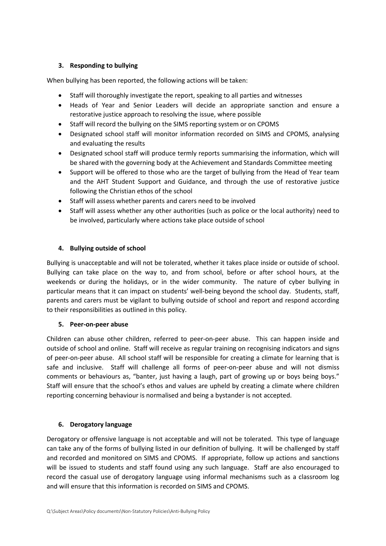# 3. Responding to bullying

When bullying has been reported, the following actions will be taken:

- Staff will thoroughly investigate the report, speaking to all parties and witnesses
- Heads of Year and Senior Leaders will decide an appropriate sanction and ensure a restorative justice approach to resolving the issue, where possible
- Staff will record the bullying on the SIMS reporting system or on CPOMS
- Designated school staff will monitor information recorded on SIMS and CPOMS, analysing and evaluating the results
- Designated school staff will produce termly reports summarising the information, which will be shared with the governing body at the Achievement and Standards Committee meeting
- Support will be offered to those who are the target of bullying from the Head of Year team and the AHT Student Support and Guidance, and through the use of restorative justice following the Christian ethos of the school
- Staff will assess whether parents and carers need to be involved
- Staff will assess whether any other authorities (such as police or the local authority) need to be involved, particularly where actions take place outside of school

# 4. Bullying outside of school

Bullying is unacceptable and will not be tolerated, whether it takes place inside or outside of school. Bullying can take place on the way to, and from school, before or after school hours, at the weekends or during the holidays, or in the wider community. The nature of cyber bullying in particular means that it can impact on students' well-being beyond the school day. Students, staff, parents and carers must be vigilant to bullying outside of school and report and respond according to their responsibilities as outlined in this policy.

### 5. Peer-on-peer abuse

Children can abuse other children, referred to peer-on-peer abuse. This can happen inside and outside of school and online. Staff will receive as regular training on recognising indicators and signs of peer-on-peer abuse. All school staff will be responsible for creating a climate for learning that is safe and inclusive. Staff will challenge all forms of peer-on-peer abuse and will not dismiss comments or behaviours as, "banter, just having a laugh, part of growing up or boys being boys." Staff will ensure that the school's ethos and values are upheld by creating a climate where children reporting concerning behaviour is normalised and being a bystander is not accepted.

### 6. Derogatory language

Derogatory or offensive language is not acceptable and will not be tolerated. This type of language can take any of the forms of bullying listed in our definition of bullying. It will be challenged by staff and recorded and monitored on SIMS and CPOMS. If appropriate, follow up actions and sanctions will be issued to students and staff found using any such language. Staff are also encouraged to record the casual use of derogatory language using informal mechanisms such as a classroom log and will ensure that this information is recorded on SIMS and CPOMS.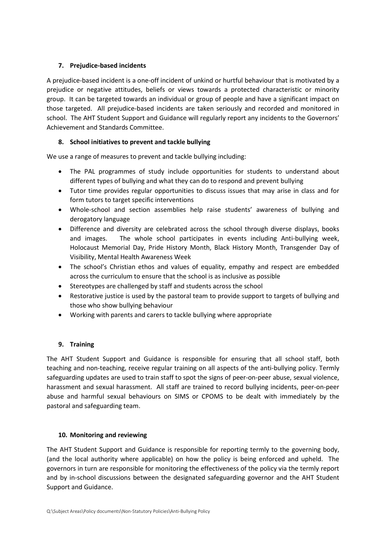# 7. Prejudice-based incidents

A prejudice-based incident is a one-off incident of unkind or hurtful behaviour that is motivated by a prejudice or negative attitudes, beliefs or views towards a protected characteristic or minority group. It can be targeted towards an individual or group of people and have a significant impact on those targeted. All prejudice-based incidents are taken seriously and recorded and monitored in school. The AHT Student Support and Guidance will regularly report any incidents to the Governors' Achievement and Standards Committee.

# 8. School initiatives to prevent and tackle bullying

We use a range of measures to prevent and tackle bullying including:

- The PAL programmes of study include opportunities for students to understand about different types of bullying and what they can do to respond and prevent bullying
- Tutor time provides regular opportunities to discuss issues that may arise in class and for form tutors to target specific interventions
- Whole-school and section assemblies help raise students' awareness of bullying and derogatory language
- Difference and diversity are celebrated across the school through diverse displays, books and images. The whole school participates in events including Anti-bullying week, Holocaust Memorial Day, Pride History Month, Black History Month, Transgender Day of Visibility, Mental Health Awareness Week
- The school's Christian ethos and values of equality, empathy and respect are embedded across the curriculum to ensure that the school is as inclusive as possible
- Stereotypes are challenged by staff and students across the school
- Restorative justice is used by the pastoral team to provide support to targets of bullying and those who show bullying behaviour
- Working with parents and carers to tackle bullying where appropriate

# 9. Training

The AHT Student Support and Guidance is responsible for ensuring that all school staff, both teaching and non-teaching, receive regular training on all aspects of the anti-bullying policy. Termly safeguarding updates are used to train staff to spot the signs of peer-on-peer abuse, sexual violence, harassment and sexual harassment. All staff are trained to record bullying incidents, peer-on-peer abuse and harmful sexual behaviours on SIMS or CPOMS to be dealt with immediately by the pastoral and safeguarding team.

# 10. Monitoring and reviewing

The AHT Student Support and Guidance is responsible for reporting termly to the governing body, (and the local authority where applicable) on how the policy is being enforced and upheld. The governors in turn are responsible for monitoring the effectiveness of the policy via the termly report and by in-school discussions between the designated safeguarding governor and the AHT Student Support and Guidance.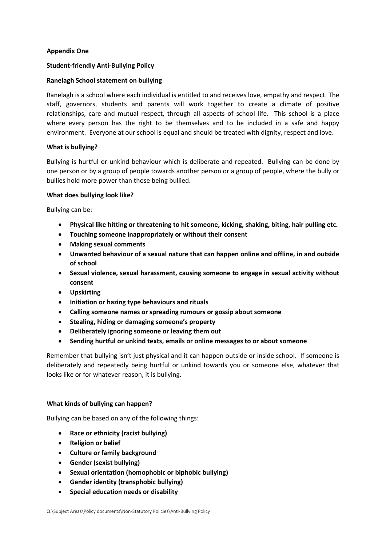# Appendix One

# Student-friendly Anti-Bullying Policy

## Ranelagh School statement on bullying

Ranelagh is a school where each individual is entitled to and receives love, empathy and respect. The staff, governors, students and parents will work together to create a climate of positive relationships, care and mutual respect, through all aspects of school life. This school is a place where every person has the right to be themselves and to be included in a safe and happy environment. Everyone at our school is equal and should be treated with dignity, respect and love.

### What is bullying?

Bullying is hurtful or unkind behaviour which is deliberate and repeated. Bullying can be done by one person or by a group of people towards another person or a group of people, where the bully or bullies hold more power than those being bullied.

### What does bullying look like?

Bullying can be:

- Physical like hitting or threatening to hit someone, kicking, shaking, biting, hair pulling etc.
- Touching someone inappropriately or without their consent
- Making sexual comments
- Unwanted behaviour of a sexual nature that can happen online and offline, in and outside of school
- Sexual violence, sexual harassment, causing someone to engage in sexual activity without consent
- Upskirting
- Initiation or hazing type behaviours and rituals
- Calling someone names or spreading rumours or gossip about someone
- Stealing, hiding or damaging someone's property
- Deliberately ignoring someone or leaving them out
- Sending hurtful or unkind texts, emails or online messages to or about someone

Remember that bullying isn't just physical and it can happen outside or inside school. If someone is deliberately and repeatedly being hurtful or unkind towards you or someone else, whatever that looks like or for whatever reason, it is bullying.

### What kinds of bullying can happen?

Bullying can be based on any of the following things:

- Race or ethnicity (racist bullying)
- Religion or belief
- Culture or family background
- Gender (sexist bullying)
- Sexual orientation (homophobic or biphobic bullying)
- Gender identity (transphobic bullying)
- Special education needs or disability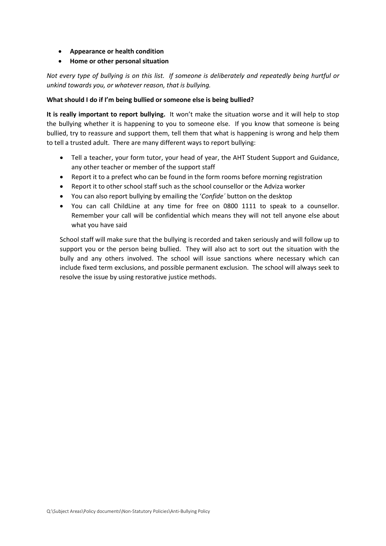- Appearance or health condition
- Home or other personal situation

Not every type of bullying is on this list. If someone is deliberately and repeatedly being hurtful or unkind towards you, or whatever reason, that is bullying.

#### What should I do if I'm being bullied or someone else is being bullied?

It is really important to report bullying. It won't make the situation worse and it will help to stop the bullying whether it is happening to you to someone else. If you know that someone is being bullied, try to reassure and support them, tell them that what is happening is wrong and help them to tell a trusted adult. There are many different ways to report bullying:

- Tell a teacher, your form tutor, your head of year, the AHT Student Support and Guidance, any other teacher or member of the support staff
- Report it to a prefect who can be found in the form rooms before morning registration
- Report it to other school staff such as the school counsellor or the Adviza worker
- You can also report bullying by emailing the 'Confide´ button on the desktop
- You can call ChildLine at any time for free on 0800 1111 to speak to a counsellor. Remember your call will be confidential which means they will not tell anyone else about what you have said

School staff will make sure that the bullying is recorded and taken seriously and will follow up to support you or the person being bullied. They will also act to sort out the situation with the bully and any others involved. The school will issue sanctions where necessary which can include fixed term exclusions, and possible permanent exclusion. The school will always seek to resolve the issue by using restorative justice methods.